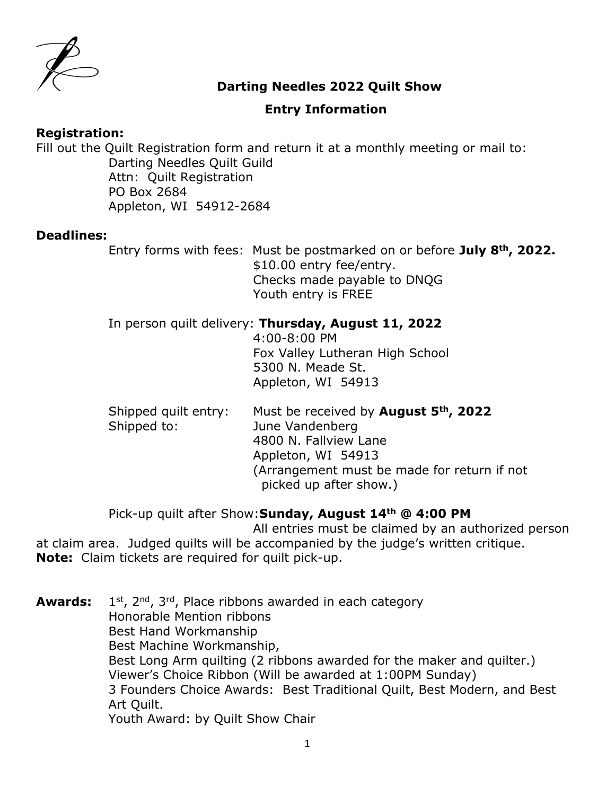

## **Darting Needles 2022 Quilt Show**

## **Entry Information**

### **Registration:**

Fill out the Quilt Registration form and return it at a monthly meeting or mail to: Darting Needles Quilt Guild Attn: Quilt Registration PO Box 2684 Appleton, WI 54912-2684

### **Deadlines:**

Entry forms with fees: Must be postmarked on or before **July 8th, 2022.** \$10.00 entry fee/entry. Checks made payable to DNQG Youth entry is FREE

### In person quilt delivery: **Thursday, August 11, 2022**

4:00-8:00 PM Fox Valley Lutheran High School 5300 N. Meade St. Appleton, WI 54913

Shipped quilt entry: Must be received by **August 5th, 2022** Shipped to: June Vandenberg 4800 N. Fallview Lane Appleton, WI 54913 (Arrangement must be made for return if not picked up after show.)

Pick-up quilt after Show:**Sunday, August 14th @ 4:00 PM**

All entries must be claimed by an authorized person at claim area. Judged quilts will be accompanied by the judge's written critique. **Note:** Claim tickets are required for quilt pick-up.

**Awards:** 1  $1<sup>st</sup>$ ,  $2<sup>nd</sup>$ ,  $3<sup>rd</sup>$ , Place ribbons awarded in each category Honorable Mention ribbons Best Hand Workmanship Best Machine Workmanship, Best Long Arm quilting (2 ribbons awarded for the maker and quilter.) Viewer's Choice Ribbon (Will be awarded at 1:00PM Sunday) 3 Founders Choice Awards: Best Traditional Quilt, Best Modern, and Best Art Quilt. Youth Award: by Quilt Show Chair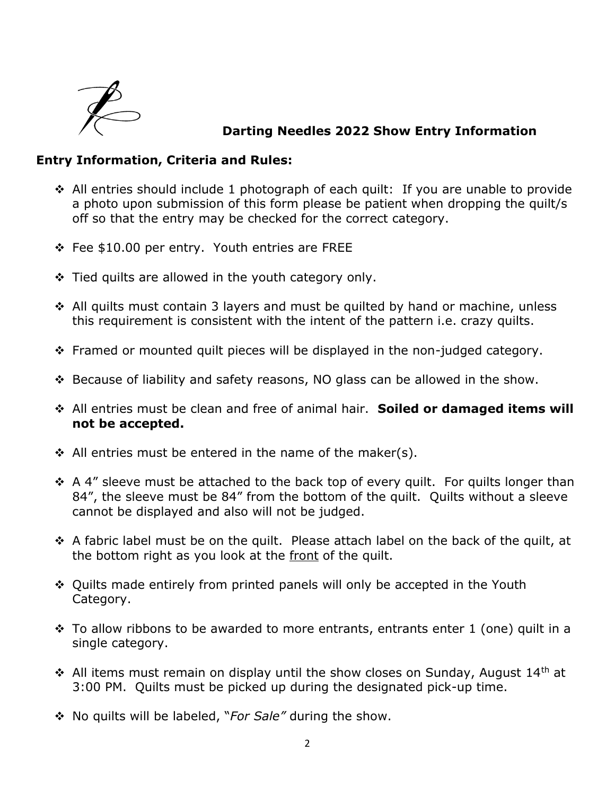

## **Darting Needles 2022 Show Entry Information**

## **Entry Information, Criteria and Rules:**

- All entries should include 1 photograph of each quilt: If you are unable to provide a photo upon submission of this form please be patient when dropping the quilt/s off so that the entry may be checked for the correct category.
- Fee \$10.00 per entry. Youth entries are FREE
- $\div$  Tied quilts are allowed in the youth category only.
- ◆ All quilts must contain 3 layers and must be quilted by hand or machine, unless this requirement is consistent with the intent of the pattern i.e. crazy quilts.
- Framed or mounted quilt pieces will be displayed in the non-judged category.
- Because of liability and safety reasons, NO glass can be allowed in the show.
- All entries must be clean and free of animal hair. **Soiled or damaged items will not be accepted.**
- $\div$  All entries must be entered in the name of the maker(s).
- $\div$  A 4" sleeve must be attached to the back top of every quilt. For quilts longer than 84", the sleeve must be 84" from the bottom of the quilt. Quilts without a sleeve cannot be displayed and also will not be judged.
- $\hat{\cdot}$  A fabric label must be on the quilt. Please attach label on the back of the quilt, at the bottom right as you look at the front of the quilt.
- Quilts made entirely from printed panels will only be accepted in the Youth Category.
- $\hat{\mathbf{v}}$  To allow ribbons to be awarded to more entrants, entrants enter 1 (one) quilt in a single category.
- All items must remain on display until the show closes on Sunday, August 14<sup>th</sup> at 3:00 PM. Quilts must be picked up during the designated pick-up time.
- No quilts will be labeled, "*For Sale"* during the show.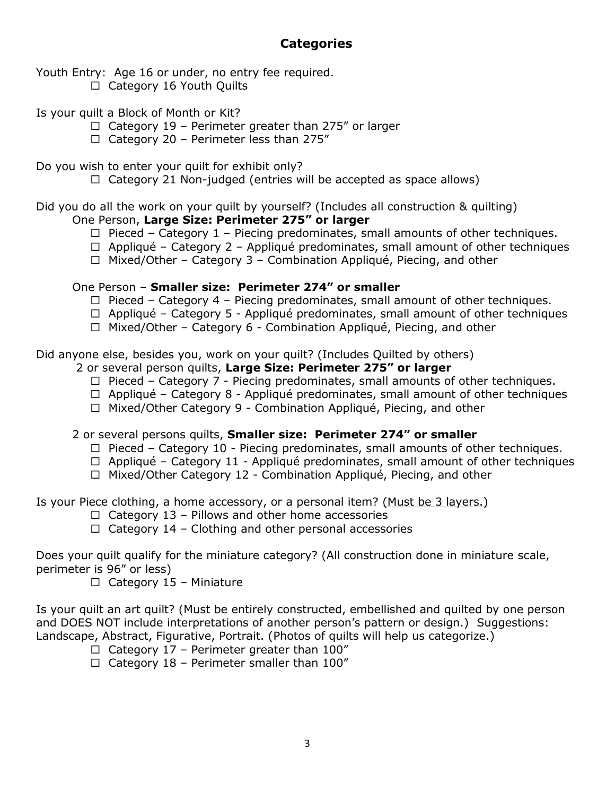# **Categories**

Youth Entry: Age 16 or under, no entry fee required.

- $\Box$  Category 16 Youth Quilts
- Is your quilt a Block of Month or Kit?
	- $\Box$  Category 19 Perimeter greater than 275" or larger
	- $\Box$  Category 20 Perimeter less than 275"

Do you wish to enter your quilt for exhibit only?

 $\Box$  Category 21 Non-judged (entries will be accepted as space allows)

Did you do all the work on your quilt by yourself? (Includes all construction & quilting)

- One Person, **Large Size: Perimeter 275" or larger**
	- $\Box$  Pieced Category 1 Piecing predominates, small amounts of other techniques.
	- $\Box$  Appliqué Category 2 Appliqué predominates, small amount of other techniques
	- $\Box$  Mixed/Other Category 3 Combination Appliqué, Piecing, and other

### One Person – **Smaller size: Perimeter 274" or smaller**

- $\Box$  Pieced Category 4 Piecing predominates, small amount of other techniques.
- $\Box$  Appliqué Category 5 Appliqué predominates, small amount of other techniques
- $\Box$  Mixed/Other Category 6 Combination Appliqué, Piecing, and other

Did anyone else, besides you, work on your quilt? (Includes Quilted by others)

- 2 or several person quilts, **Large Size: Perimeter 275" or larger**
	- $\Box$  Pieced Category 7 Piecing predominates, small amounts of other techniques.
	- $\Box$  Appliqué Category 8 Appliqué predominates, small amount of other techniques
	- $\Box$  Mixed/Other Category 9 Combination Appliqué, Piecing, and other

2 or several persons quilts, **Smaller size: Perimeter 274" or smaller**

- $\Box$  Pieced Category 10 Piecing predominates, small amounts of other techniques.
- $\Box$  Appliqué Category 11 Appliqué predominates, small amount of other techniques
- □ Mixed/Other Category 12 Combination Appliqué, Piecing, and other

Is your Piece clothing, a home accessory, or a personal item? (Must be 3 layers.)

- $\Box$  Category 13 Pillows and other home accessories
- $\Box$  Category 14 Clothing and other personal accessories

Does your quilt qualify for the miniature category? (All construction done in miniature scale, perimeter is 96" or less)

 $\Box$  Category 15 – Miniature

Is your quilt an art quilt? (Must be entirely constructed, embellished and quilted by one person and DOES NOT include interpretations of another person's pattern or design.) Suggestions: Landscape, Abstract, Figurative, Portrait. (Photos of quilts will help us categorize.)

- $\Box$  Category 17 Perimeter greater than 100"
- $\Box$  Category 18 Perimeter smaller than 100"